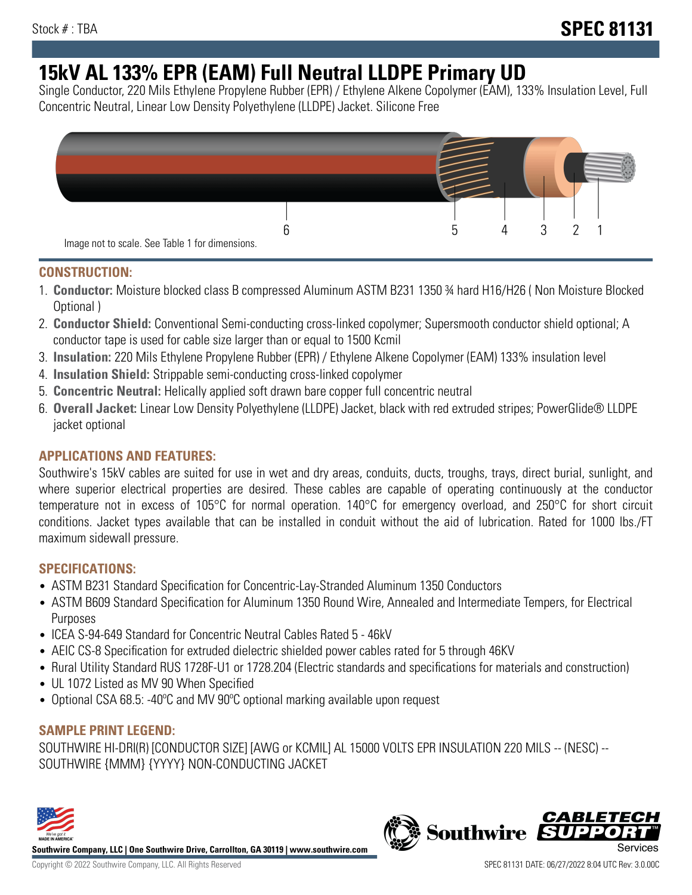# **15kV AL 133% EPR (EAM) Full Neutral LLDPE Primary UD**

Single Conductor, 220 Mils Ethylene Propylene Rubber (EPR) / Ethylene Alkene Copolymer (EAM), 133% Insulation Level, Full Concentric Neutral, Linear Low Density Polyethylene (LLDPE) Jacket. Silicone Free



#### **CONSTRUCTION:**

- 1. **Conductor:** Moisture blocked class B compressed Aluminum ASTM B231 1350 ¾ hard H16/H26 ( Non Moisture Blocked Optional )
- 2. **Conductor Shield:** Conventional Semi-conducting cross-linked copolymer; Supersmooth conductor shield optional; A conductor tape is used for cable size larger than or equal to 1500 Kcmil
- 3. **Insulation:** 220 Mils Ethylene Propylene Rubber (EPR) / Ethylene Alkene Copolymer (EAM) 133% insulation level
- 4. **Insulation Shield:** Strippable semi-conducting cross-linked copolymer
- 5. **Concentric Neutral:** Helically applied soft drawn bare copper full concentric neutral
- 6. **Overall Jacket:** Linear Low Density Polyethylene (LLDPE) Jacket, black with red extruded stripes; PowerGlide® LLDPE jacket optional

## **APPLICATIONS AND FEATURES:**

Southwire's 15kV cables are suited for use in wet and dry areas, conduits, ducts, troughs, trays, direct burial, sunlight, and where superior electrical properties are desired. These cables are capable of operating continuously at the conductor temperature not in excess of 105°C for normal operation. 140°C for emergency overload, and 250°C for short circuit conditions. Jacket types available that can be installed in conduit without the aid of lubrication. Rated for 1000 lbs./FT maximum sidewall pressure.

## **SPECIFICATIONS:**

- ASTM B231 Standard Specification for Concentric-Lay-Stranded Aluminum 1350 Conductors
- ASTM B609 Standard Specification for Aluminum 1350 Round Wire, Annealed and Intermediate Tempers, for Electrical Purposes
- ICEA S-94-649 Standard for Concentric Neutral Cables Rated 5 46kV
- AEIC CS-8 Specification for extruded dielectric shielded power cables rated for 5 through 46KV
- Rural Utility Standard RUS 1728F-U1 or 1728.204 (Electric standards and specifications for materials and construction)
- UL 1072 Listed as MV 90 When Specified
- Optional CSA 68.5: -40°C and MV 90°C optional marking available upon request

## **SAMPLE PRINT LEGEND:**

SOUTHWIRE HI-DRI(R) [CONDUCTOR SIZE] [AWG or KCMIL] AL 15000 VOLTS EPR INSULATION 220 MILS -- (NESC) -- SOUTHWIRE {MMM} {YYYY} NON-CONDUCTING JACKET



**Southwire Company, LLC | One Southwire Drive, Carrollton, GA 30119 | www.southwire.com**

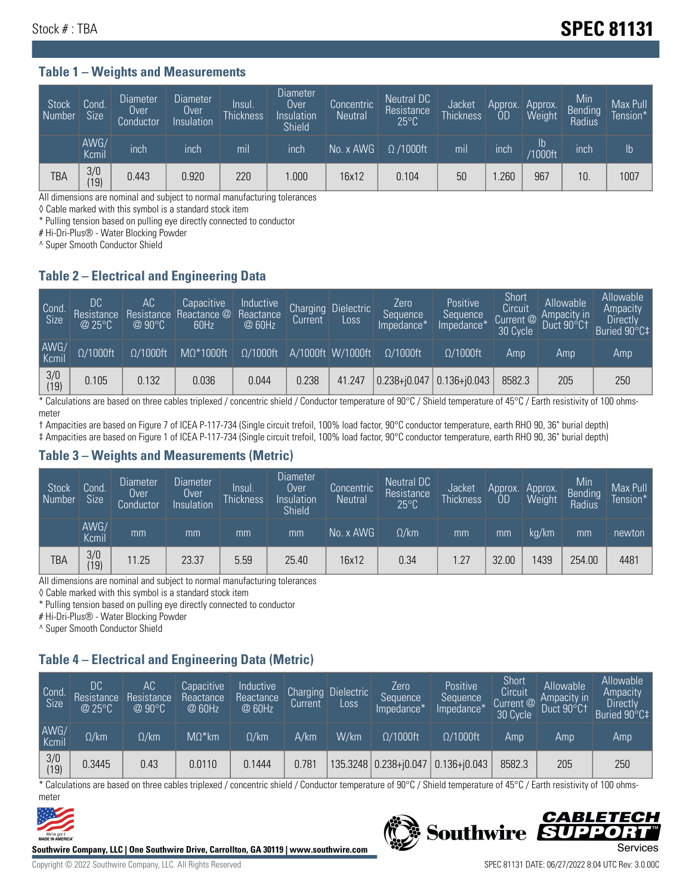#### **Table 1 – Weights and Measurements**

| Stock<br>Number | Cond<br><b>Size</b> | <b>Diameter</b><br>Over<br>Conductor | Diameter<br>Over<br>Insulation | lnsul.<br><b>Thickness</b> | Diameter<br>Over<br>Insulation<br><b>Shield</b> | Concentric<br><b>Neutral</b> | Neutral DC<br>Resistance<br>$25^{\circ}$ C | Jacket<br><b>Thickness</b> | Approx.<br>0D | Approx.<br>Weight | Min<br>Bending<br>Radius | Max Pull<br>Tension* |
|-----------------|---------------------|--------------------------------------|--------------------------------|----------------------------|-------------------------------------------------|------------------------------|--------------------------------------------|----------------------------|---------------|-------------------|--------------------------|----------------------|
|                 | AWG/<br>Kcmil       | inch                                 | inch                           | mil                        | ınch                                            | No. x AWG                    | $\Omega$ /1000ft                           | mil                        | inch          | Ib<br>/1000ft     | inch                     | Ib                   |
| TBA             | 3/0<br>(19)         | 0.443                                | 0.920                          | 220                        | .000                                            | 16x12                        | 0.104                                      | 50                         | .260          | 967               | 10.                      | 1007                 |

All dimensions are nominal and subject to normal manufacturing tolerances

◊ Cable marked with this symbol is a standard stock item

\* Pulling tension based on pulling eye directly connected to conductor

# Hi-Dri-Plus® - Water Blocking Powder

^ Super Smooth Conductor Shield

#### **Table 2 – Electrical and Engineering Data**

| Cond.<br>Size | 'DC.<br>Resistance<br>$\circledR$ 25°C $^\circ$ | AC<br>Resistance<br>@ 90 $\circ$ C | Capacitive<br>Reactance @<br>60Hz | Inductive<br>Reactance<br>@ 60Hz | Charging<br>Current | <b>Dielectric</b><br>Loss | Zero<br>Sequence<br>Impedance* | Positive<br>Sequence<br>Impedance <sup>®</sup> | Short<br>Circuit<br>Current @<br>30 Cycle | Allowable<br>Ampacity in<br>Duct 90°C† | Allowable<br>Ampacity<br><b>Directly</b><br>Buried 90°C‡ |
|---------------|-------------------------------------------------|------------------------------------|-----------------------------------|----------------------------------|---------------------|---------------------------|--------------------------------|------------------------------------------------|-------------------------------------------|----------------------------------------|----------------------------------------------------------|
| AWG/<br>Kcmil | $\Omega/1000$ ft                                | $\Omega/1000$ ft                   | $M\Omega^*1000$ ft                | $\Omega/1000$ ft                 |                     | A/1000ft W/1000ft         | $\Omega/1000$ ft               | $\Omega$ /1000ft                               | Amp                                       | Amp                                    | Amp                                                      |
| 3/0<br>(19)   | 0.105                                           | 0.132                              | 0.036                             | 0.044                            | 0.238               | 41.247                    | $0.238 + 0.047$                | $0.136 + 0.043$                                | 8582.3                                    | 205                                    | 250                                                      |

\* Calculations are based on three cables triplexed / concentric shield / Conductor temperature of 90°C / Shield temperature of 45°C / Earth resistivity of 100 ohmsmeter

† Ampacities are based on Figure 7 of ICEA P-117-734 (Single circuit trefoil, 100% load factor, 90°C conductor temperature, earth RHO 90, 36" burial depth)

‡ Ampacities are based on Figure 1 of ICEA P-117-734 (Single circuit trefoil, 100% load factor, 90°C conductor temperature, earth RHO 90, 36" burial depth)

#### **Table 3 – Weights and Measurements (Metric)**

| Stock<br>Number | Cond.<br>Size <sup>1</sup> | <b>Diameter</b><br>Over<br>Conductor | <b>Diameter</b><br>Over<br>Insulation | Insul.<br><b>Thickness</b> | <b>Diameter</b><br>Over<br>Insulation<br><b>Shield</b> | Concentric<br><b>Neutral</b> | Neutral DC<br>Resistance<br>$25^{\circ}$ C | Jacket<br><b>Thickness</b> | Approx.<br>0D | Approx.<br>Weight | Min<br>Bending<br>Radius | Max Pull<br>Tension* |
|-----------------|----------------------------|--------------------------------------|---------------------------------------|----------------------------|--------------------------------------------------------|------------------------------|--------------------------------------------|----------------------------|---------------|-------------------|--------------------------|----------------------|
|                 | AWG/<br>Kcmil              | mm                                   | mm                                    | mm                         | mm                                                     | No. x AWG                    | $\Omega$ /km                               | mm                         | mm            | ka/km             | mm                       | newton               |
| <b>TBA</b>      | 3/0<br>(19)                | 11.25                                | 23.37                                 | 5.59                       | 25.40                                                  | 16x12                        | 0.34                                       | 1.27                       | 32.00         | 439               | 254.00                   | 4481                 |

All dimensions are nominal and subject to normal manufacturing tolerances

◊ Cable marked with this symbol is a standard stock item

\* Pulling tension based on pulling eye directly connected to conductor

# Hi-Dri-Plus® - Water Blocking Powder

^ Super Smooth Conductor Shield

## **Table 4 – Electrical and Engineering Data (Metric)**

| Cond<br>Size          | DC<br>Resistance<br>@ 25°C | АC<br>Resistance<br>$@90^{\circ}C$ | Capacitive<br>Reactance<br>@ 60Hz | Inductive<br>Reactance<br>@ 60Hz | Charging<br>Current | <b>Dielectric</b><br>Loss | Zero<br>Sequence<br>Impedance* | Positive<br>Sequence<br>Impedance* | Short<br>Circuit<br>Current @<br>30 Cycle | Allowable<br>Ampacity in<br>Duct 90°C1 | Allowable<br>Ampacity<br><b>Directly</b><br>Buried 90°C‡ |
|-----------------------|----------------------------|------------------------------------|-----------------------------------|----------------------------------|---------------------|---------------------------|--------------------------------|------------------------------------|-------------------------------------------|----------------------------------------|----------------------------------------------------------|
| AWG/<br>Kcmil         | $\Omega$ /km               | $\Omega$ /km                       | $M\Omega^*$ km                    | $\Omega$ /km                     | A/km                | W/km                      | $\Omega/1000$ ft               | $\Omega/1000$ ft                   | Amp                                       | Amp                                    | Amp                                                      |
| $\frac{3}{0}$<br>(19) | 0.3445                     | 0.43                               | 0.0110                            | 0.1444                           | 0.781               |                           | 135.3248   0.238+j0.047        | $0.136 + j0.043$                   | 8582.3                                    | 205                                    | 250                                                      |

\* Calculations are based on three cables triplexed / concentric shield / Conductor temperature of 90°C / Shield temperature of 45°C / Earth resistivity of 100 ohmsmeter



**Southwire Company, LLC | One Southwire Drive, Carrollton, GA 30119 | www.southwire.com**